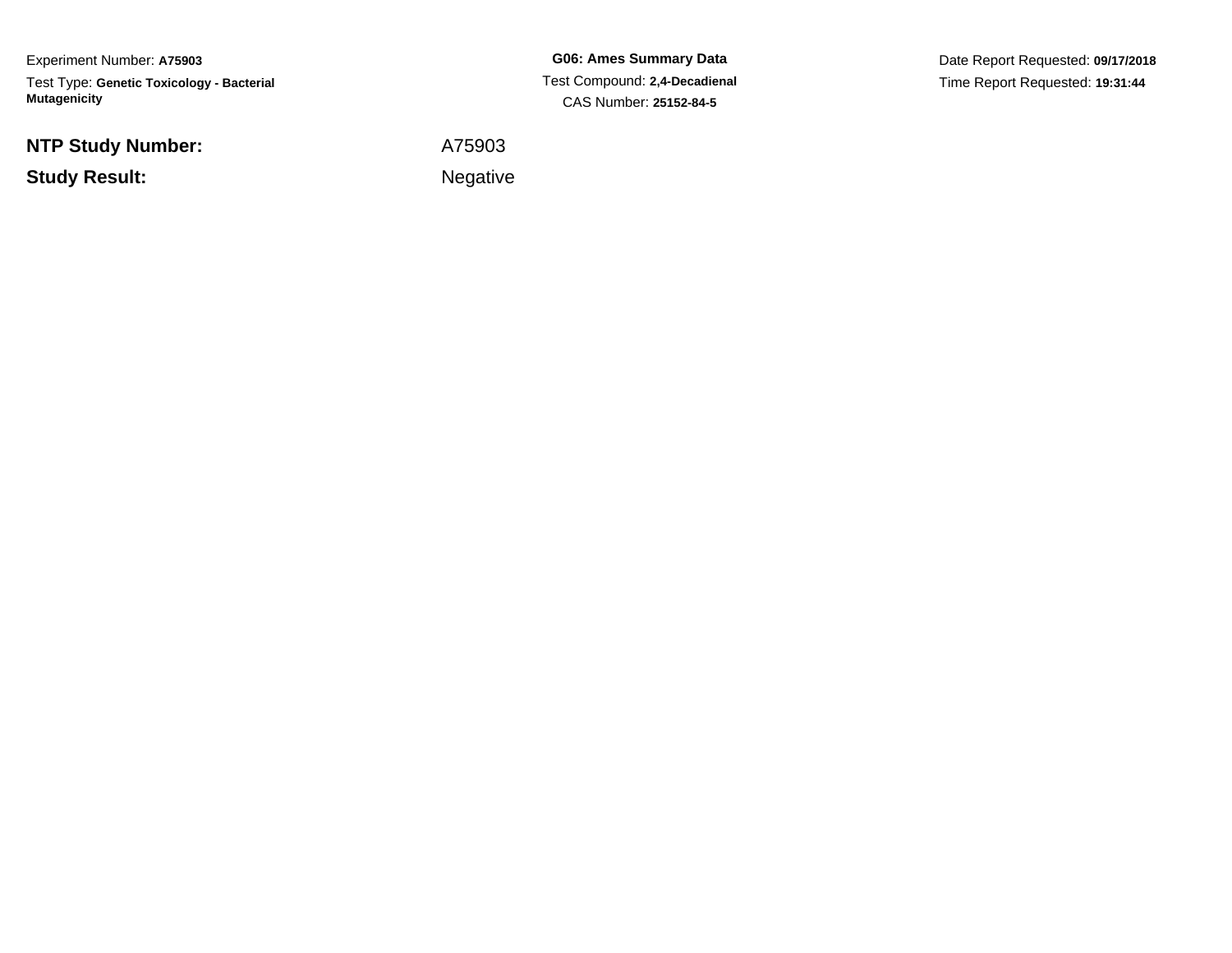Experiment Number: **A75903**Test Type: **Genetic Toxicology - Bacterial Mutagenicity**

**NTP Study Number:**

**Study Result:**

**G06: Ames Summary Data** Test Compound: **2,4-Decadienal**CAS Number: **25152-84-5**

Date Report Requested: **09/17/2018**Time Report Requested: **19:31:44**

A75903

Negative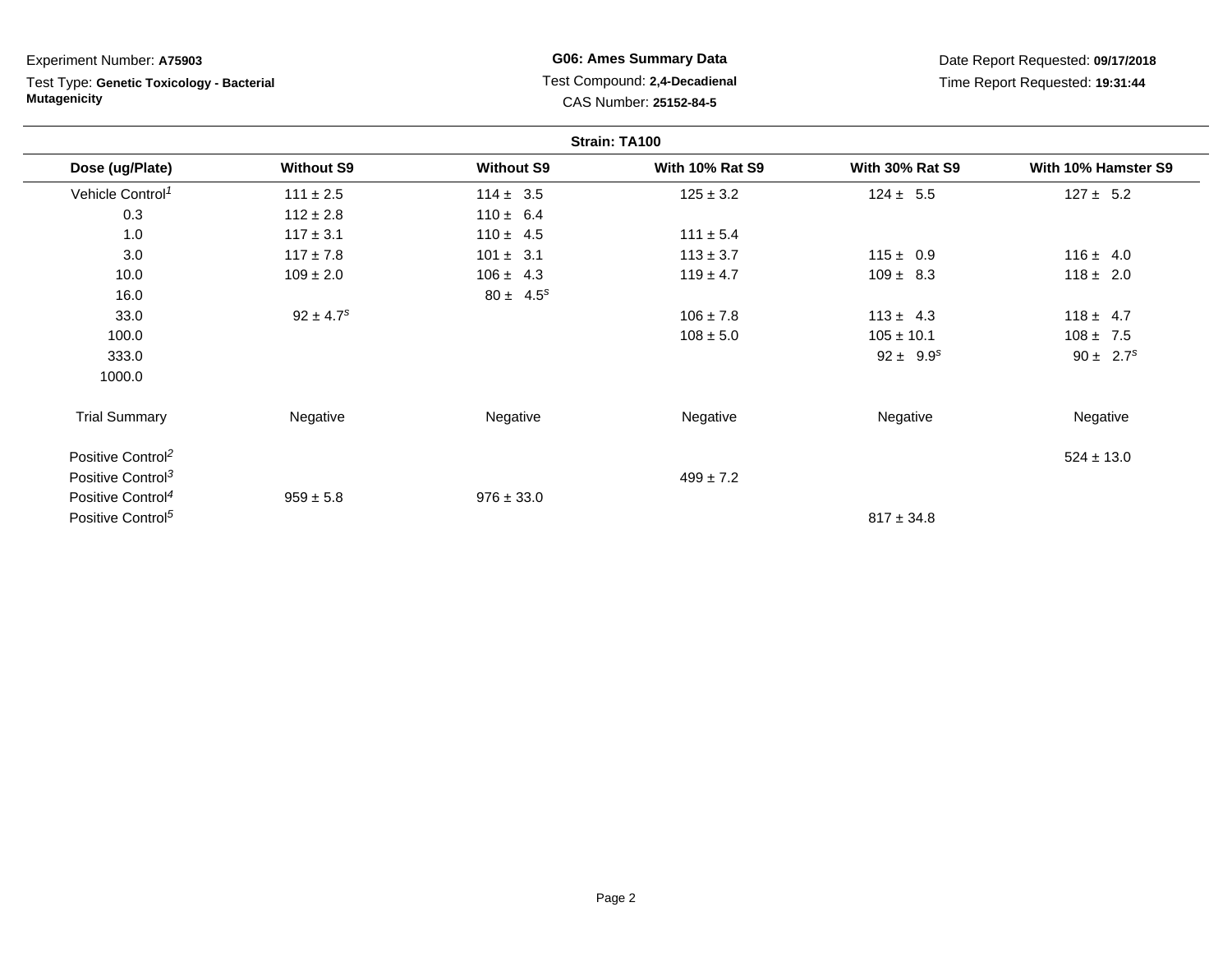**Strain: TA100Dose (ug/Plate) Without S9 Without S9 With 10% Rat S9 With 30% Rat S9 With 10% Hamster S9** Vehicle Control<sup>1</sup>  $111 \pm 2.5$ 5 114 ± 3.5 125 ± 3.2 124 ± 5.5 127 ± 5.2 0.3 $112 \pm 2.8$   $110 \pm 6.4$ <br> $117 \pm 3.1$   $110 \pm 4.5$ 1.00 117 ± 3.1 110 ± 4.5 111 ± 5.4 3.00 117 ± 7.8 101 ± 3.1 113 ± 3.7 115 ± 0.9 116 ± 4.0 10.00 109 ± 2.0 106 ± 4.3 119 ± 4.7 109 ± 8.3 118 ± 2.0 16.00  $80 \pm 4.5^s$ 33.00  $92 \pm 4.7^s$   $92 \pm 4.7^s$  106  $\pm 7.8$  113  $\pm 4.3$  118  $\pm 4.7$ 100.00 108  $\pm$  5.0 108  $\pm$  10.1 108  $\pm$  7.5 333.0 $92 \pm 9.9^s$   $90 \pm 2.7^s$ 1000.0Trial Summary Negativee **Negative Regative** Negative Negative Negative Regative Negative Positive Control<sup>2</sup> $\frac{22}{524 \pm 13.0}$ Positive Control<sup>3</sup>  $499 \pm 7.2$ Positive Control<sup>4</sup> $959 \pm 5.8$  $976 \pm 33.0$ Positive Control<sup>5</sup>  $817 \pm 34.8$ Experiment Number: **A75903**Test Type: **Genetic Toxicology - BacterialMutagenicityG06: Ames Summary Data** Test Compound: **2,4-Decadienal**CAS Number: **25152-84-5**Date Report Requested: **09/17/2018**Time Report Requested: **19:31:44**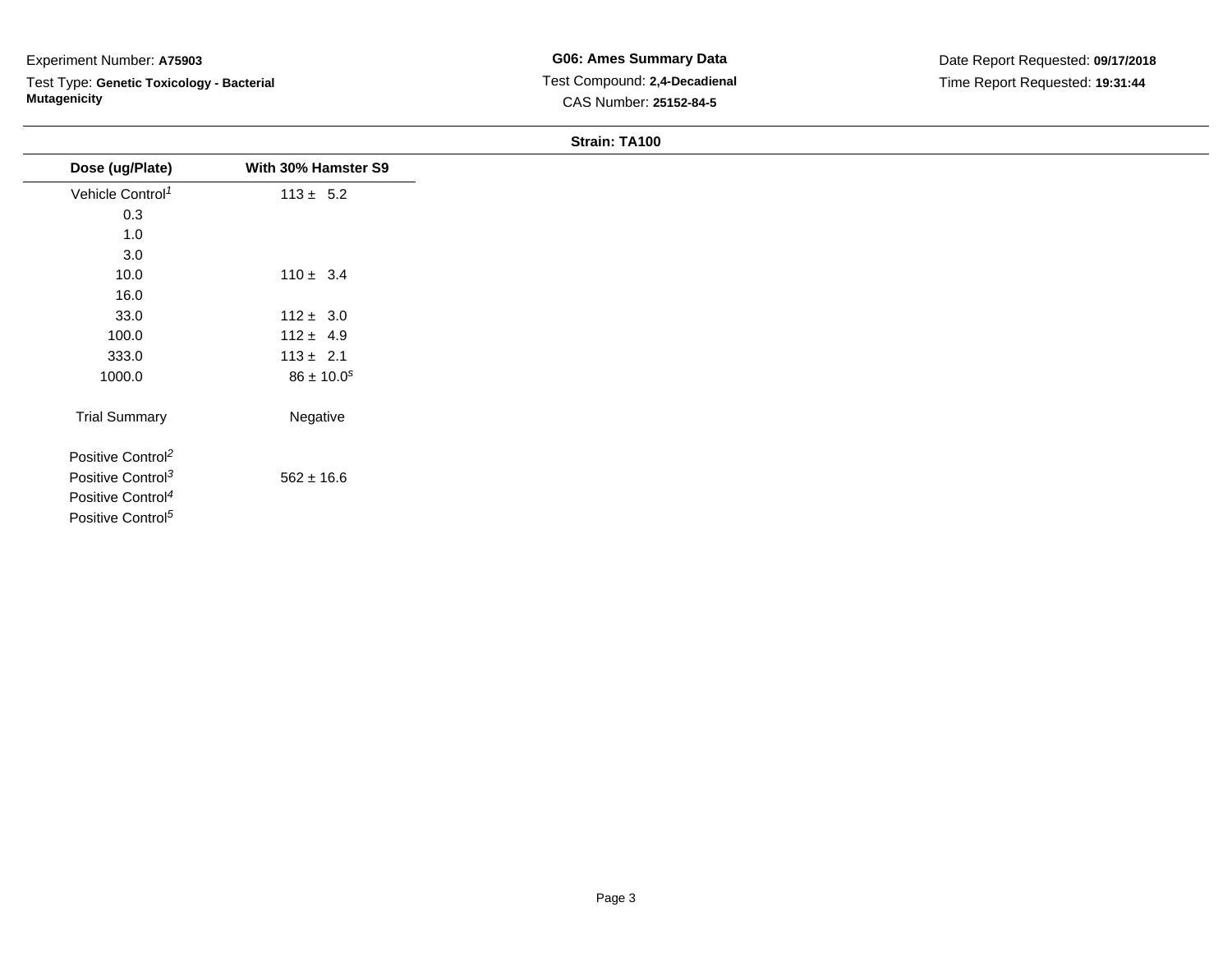Test Type: **Genetic Toxicology - Bacterial Mutagenicity**

| Dose (ug/Plate)               | With 30% Hamster S9 |
|-------------------------------|---------------------|
| Vehicle Control <sup>1</sup>  | $113 \pm 5.2$       |
| 0.3                           |                     |
| 1.0                           |                     |
| 3.0                           |                     |
| 10.0                          | $110 \pm 3.4$       |
| 16.0                          |                     |
| 33.0                          | $112 \pm 3.0$       |
| 100.0                         | $112 \pm 4.9$       |
| 333.0                         | $113 \pm 2.1$       |
| 1000.0                        | $86 \pm 10.0^s$     |
| <b>Trial Summary</b>          | Negative            |
| Positive Control <sup>2</sup> |                     |
| Positive Control <sup>3</sup> | $562 \pm 16.6$      |
| Positive Control <sup>4</sup> |                     |
| Positive Control <sup>5</sup> |                     |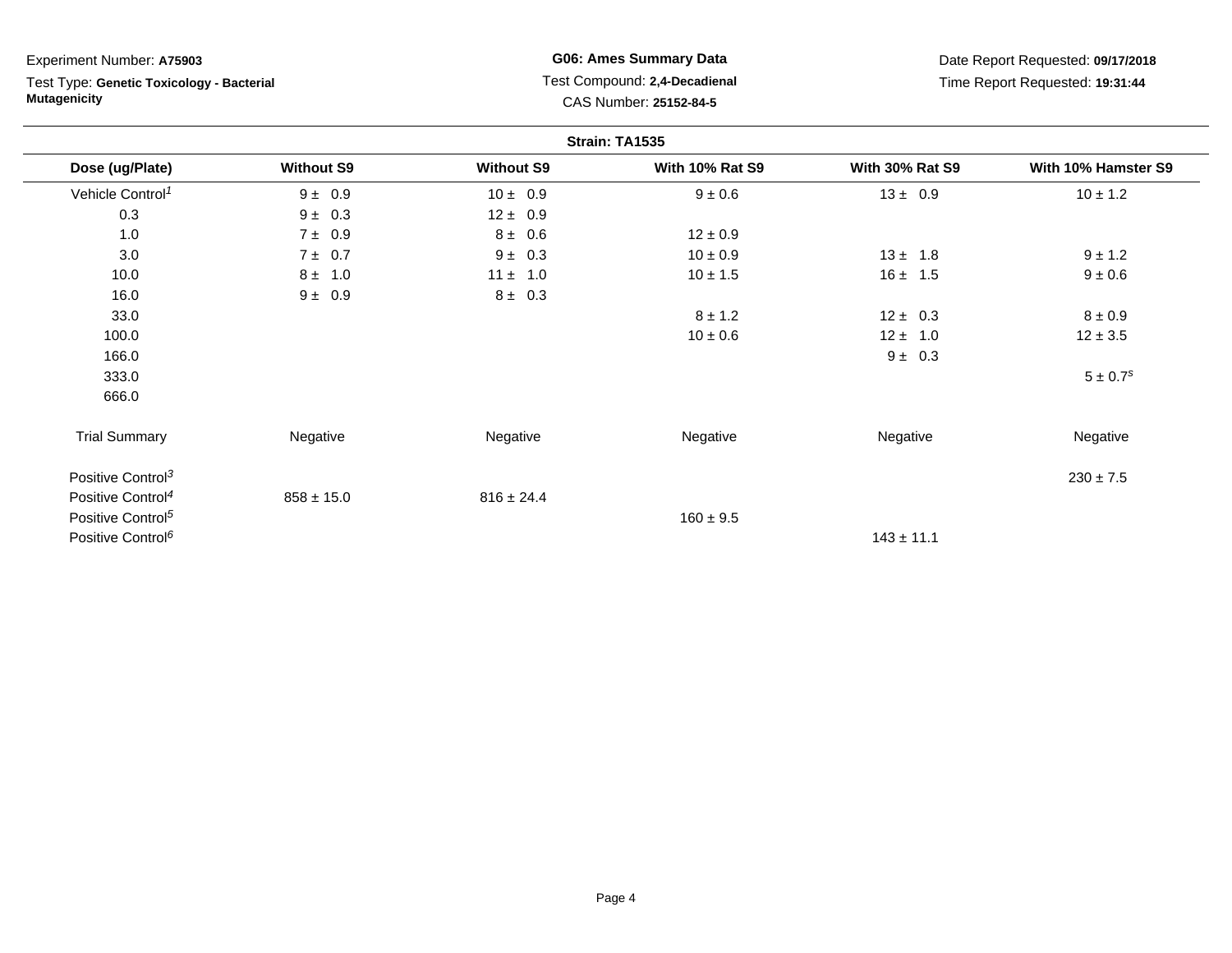Test Type: **Genetic Toxicology - Bacterial Mutagenicity**

**G06: Ames Summary Data** Test Compound: **2,4-Decadienal** CAS Number: **25152-84-5**

Date Report Requested: **09/17/2018**Time Report Requested: **19:31:44**

|                               |                   |                   | Strain: TA1535         |                        |                          |
|-------------------------------|-------------------|-------------------|------------------------|------------------------|--------------------------|
| Dose (ug/Plate)               | <b>Without S9</b> | <b>Without S9</b> | <b>With 10% Rat S9</b> | <b>With 30% Rat S9</b> | With 10% Hamster S9      |
| Vehicle Control <sup>1</sup>  | $9 \pm 0.9$       | $10 \pm 0.9$      | $9 \pm 0.6$            | $13 \pm 0.9$           | $10 \pm 1.2$             |
| 0.3                           | $9 \pm 0.3$       | $12 \pm 0.9$      |                        |                        |                          |
| 1.0                           | $7 \pm 0.9$       | $8 \pm 0.6$       | $12 \pm 0.9$           |                        |                          |
| 3.0                           | $7 \pm 0.7$       | $9 \pm 0.3$       | $10 \pm 0.9$           | $13 \pm 1.8$           | $9 \pm 1.2$              |
| 10.0                          | $8 \pm 1.0$       | $11 \pm 1.0$      | $10 \pm 1.5$           | $16 \pm 1.5$           | $9 \pm 0.6$              |
| 16.0                          | $9 \pm 0.9$       | $8 \pm 0.3$       |                        |                        |                          |
| 33.0                          |                   |                   | $8 \pm 1.2$            | $12 \pm 0.3$           | $8 \pm 0.9$              |
| 100.0                         |                   |                   | $10 \pm 0.6$           | $12 \pm 1.0$           | $12 \pm 3.5$             |
| 166.0                         |                   |                   |                        | $9 \pm 0.3$            |                          |
| 333.0                         |                   |                   |                        |                        | $5 \pm 0.7$ <sup>s</sup> |
| 666.0                         |                   |                   |                        |                        |                          |
| <b>Trial Summary</b>          | Negative          | Negative          | Negative               | Negative               | Negative                 |
| Positive Control <sup>3</sup> |                   |                   |                        |                        | $230 \pm 7.5$            |
| Positive Control <sup>4</sup> | $858 \pm 15.0$    | $816 \pm 24.4$    |                        |                        |                          |
| Positive Control <sup>5</sup> |                   |                   | $160 \pm 9.5$          |                        |                          |
| Positive Control <sup>6</sup> |                   |                   |                        | $143 \pm 11.1$         |                          |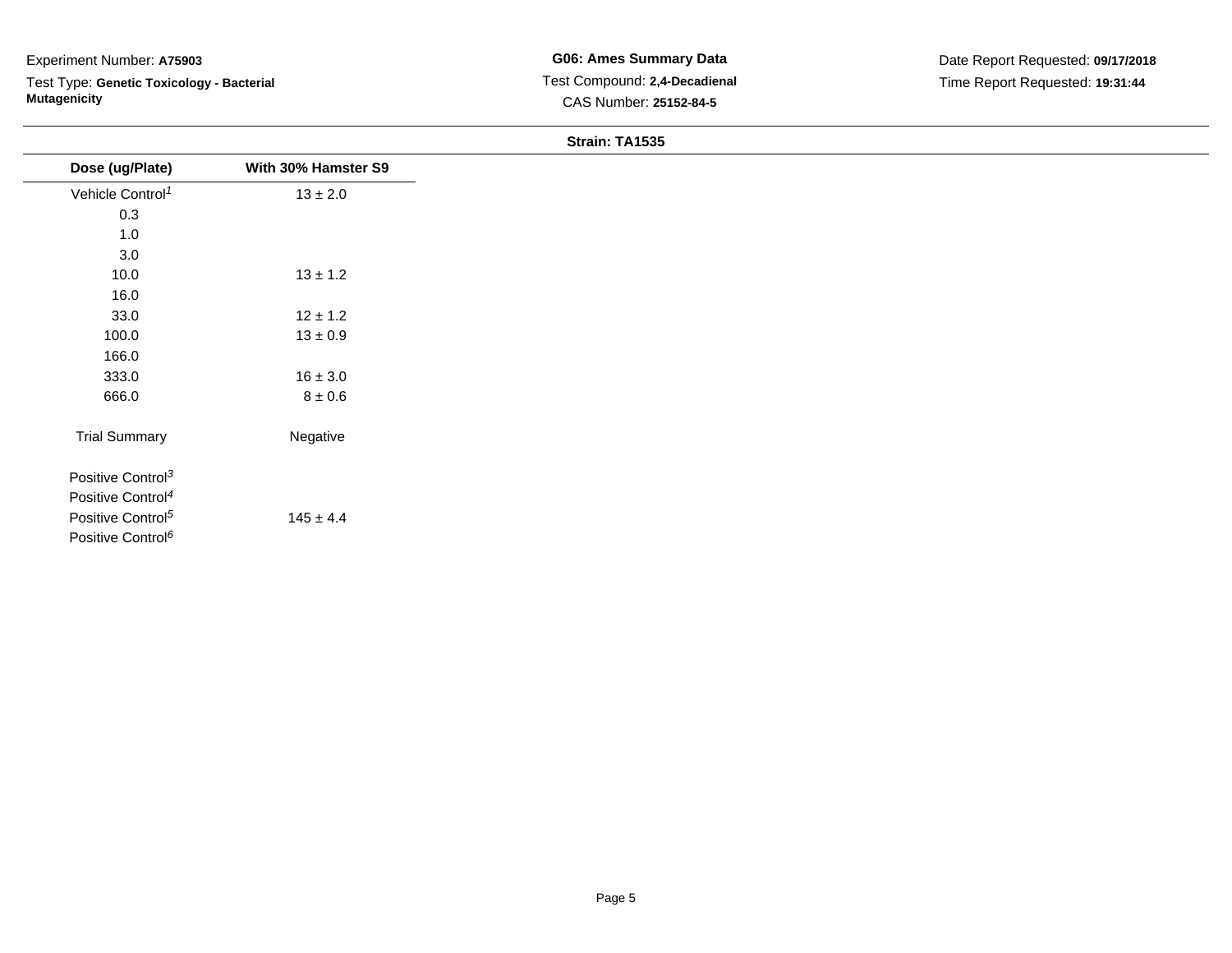Test Type: **Genetic Toxicology - Bacterial Mutagenicity**

| Dose (ug/Plate)               | With 30% Hamster S9 |
|-------------------------------|---------------------|
| Vehicle Control <sup>1</sup>  | $13\pm2.0$          |
| 0.3                           |                     |
| 1.0                           |                     |
| 3.0                           |                     |
| 10.0                          | $13 \pm 1.2$        |
| 16.0                          |                     |
| 33.0                          | $12 \pm 1.2$        |
| 100.0                         | $13\pm0.9$          |
| 166.0                         |                     |
| 333.0                         | $16 \pm 3.0$        |
| 666.0                         | $8\pm0.6$           |
| <b>Trial Summary</b>          | Negative            |
| Positive Control <sup>3</sup> |                     |
| Positive Control <sup>4</sup> |                     |
| Positive Control <sup>5</sup> | $145 \pm 4.4$       |
| Positive Control <sup>6</sup> |                     |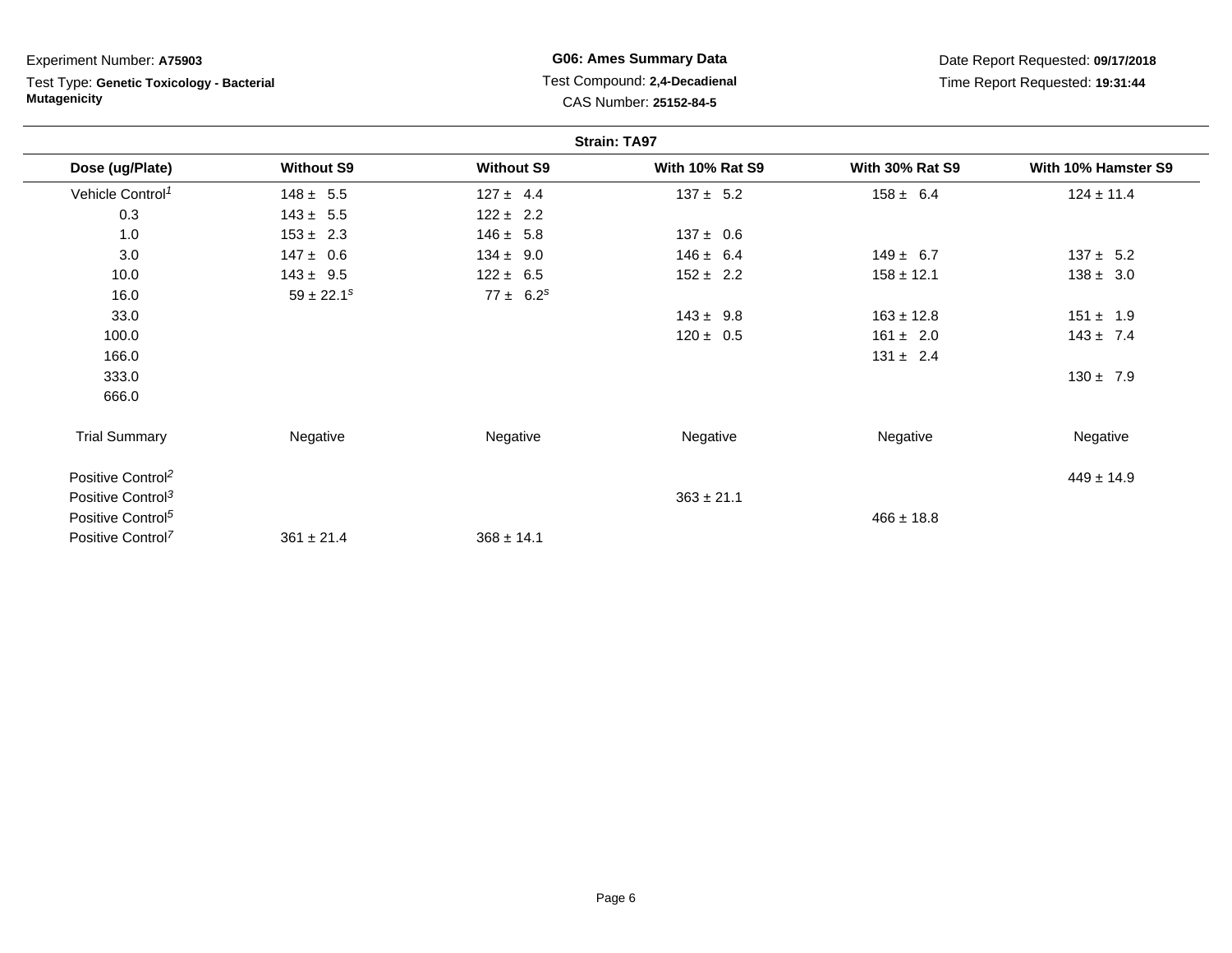| Experiment Number: A75903                                        |                   |                                                         | <b>G06: Ames Summary Data</b> |                                 | Date Report Requested: 09/17/2018 |
|------------------------------------------------------------------|-------------------|---------------------------------------------------------|-------------------------------|---------------------------------|-----------------------------------|
| Test Type: Genetic Toxicology - Bacterial<br><b>Mutagenicity</b> |                   | Test Compound: 2,4-Decadienal<br>CAS Number: 25152-84-5 |                               | Time Report Requested: 19:31:44 |                                   |
|                                                                  |                   |                                                         | <b>Strain: TA97</b>           |                                 |                                   |
| Dose (ug/Plate)                                                  | <b>Without S9</b> | <b>Without S9</b>                                       | <b>With 10% Rat S9</b>        | <b>With 30% Rat S9</b>          | With 10% Hamster S9               |
| Vehicle Control <sup>1</sup>                                     | $148 \pm 5.5$     | $127 \pm 4.4$                                           | $137 \pm 5.2$                 | $158 \pm 6.4$                   | $124 \pm 11.4$                    |
| 0.3                                                              | $143 \pm 5.5$     | $122 \pm 2.2$                                           |                               |                                 |                                   |
| 1.0                                                              | $153 \pm 2.3$     | $146 \pm 5.8$                                           | $137 \pm 0.6$                 |                                 |                                   |
| 3.0                                                              | $147 \pm 0.6$     | $134 \pm 9.0$                                           | $146 \pm 6.4$                 | $149 \pm 6.7$                   | $137 \pm 5.2$                     |
| 10.0                                                             | $143 \pm 9.5$     | $122 \pm 6.5$                                           | $152 \pm 2.2$                 | $158 \pm 12.1$                  | $138 \pm 3.0$                     |
| 16.0                                                             | $59 \pm 22.1^s$   | $77 \pm 6.2^s$                                          |                               |                                 |                                   |
| 33.0                                                             |                   |                                                         | $143 \pm 9.8$                 | $163 \pm 12.8$                  | $151 \pm 1.9$                     |
| 100.0                                                            |                   |                                                         | $120 \pm 0.5$                 | $161 \pm 2.0$                   | $143 \pm 7.4$                     |
| 166.0                                                            |                   |                                                         |                               | $131 \pm 2.4$                   |                                   |
| 333.0                                                            |                   |                                                         |                               |                                 | $130 \pm 7.9$                     |
| 666.0                                                            |                   |                                                         |                               |                                 |                                   |
| <b>Trial Summary</b>                                             | Negative          | Negative                                                | Negative                      | Negative                        | Negative                          |
| Positive Control <sup>2</sup>                                    |                   |                                                         |                               |                                 | $449 \pm 14.9$                    |
| Positive Control <sup>3</sup>                                    |                   |                                                         | $363 \pm 21.1$                |                                 |                                   |
| Positive Control <sup>5</sup>                                    |                   |                                                         |                               | $466 \pm 18.8$                  |                                   |
| Positive Control <sup>7</sup>                                    | $361 \pm 21.4$    | $368 \pm 14.1$                                          |                               |                                 |                                   |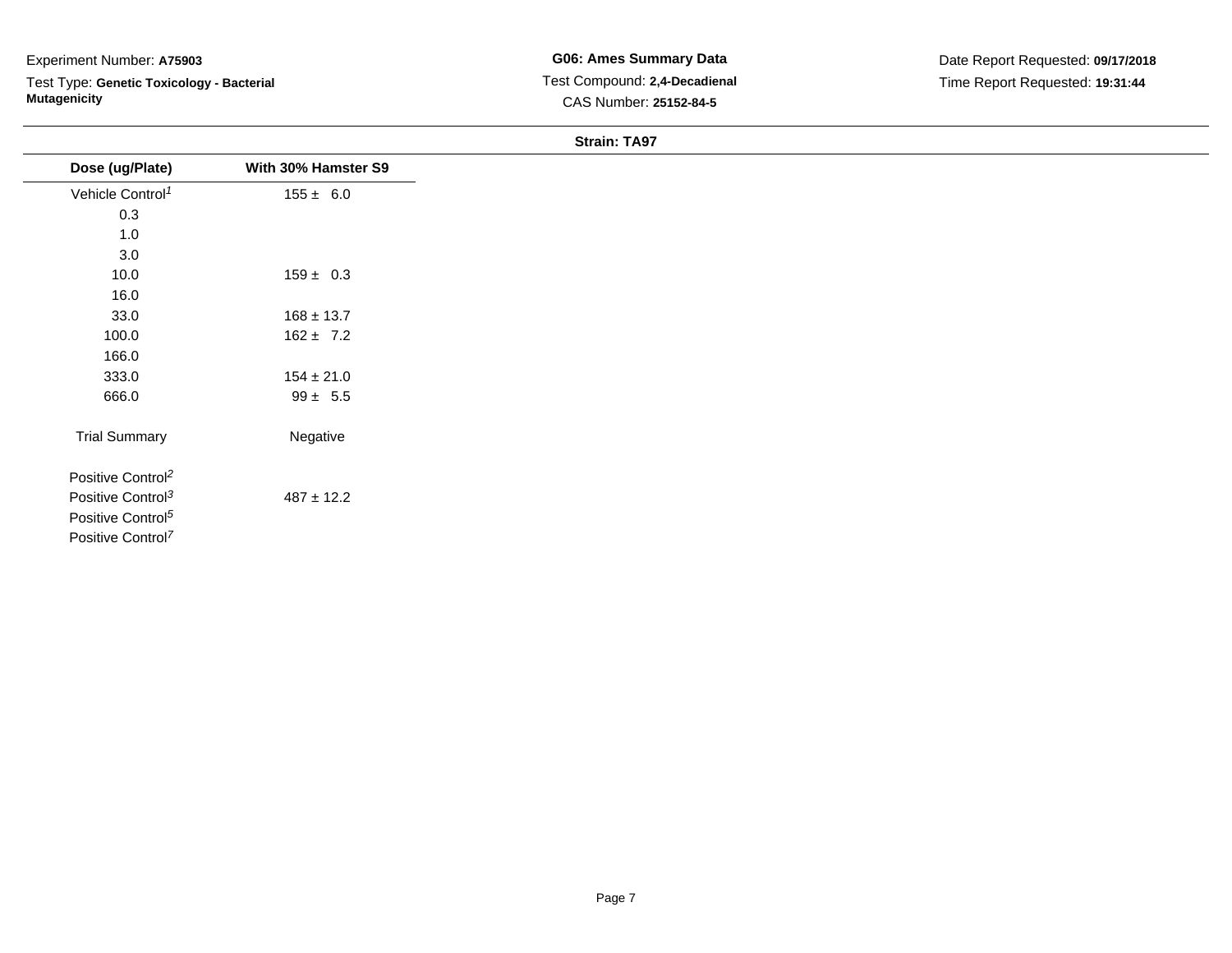Test Type: **Genetic Toxicology - Bacterial Mutagenicity**

| Dose (ug/Plate)               | With 30% Hamster S9 |
|-------------------------------|---------------------|
| Vehicle Control <sup>1</sup>  | $155 \pm 6.0$       |
| $0.3\,$                       |                     |
| 1.0                           |                     |
| 3.0                           |                     |
| 10.0                          | $159 \pm 0.3$       |
| 16.0                          |                     |
| 33.0                          | $168 \pm 13.7$      |
| 100.0                         | $162 \pm 7.2$       |
| 166.0                         |                     |
| 333.0                         | $154 \pm 21.0$      |
| 666.0                         | $99 \pm 5.5$        |
| <b>Trial Summary</b>          | Negative            |
| Positive Control <sup>2</sup> |                     |
| Positive Control <sup>3</sup> | $487 \pm 12.2$      |
| Positive Control <sup>5</sup> |                     |
| Positive Control <sup>7</sup> |                     |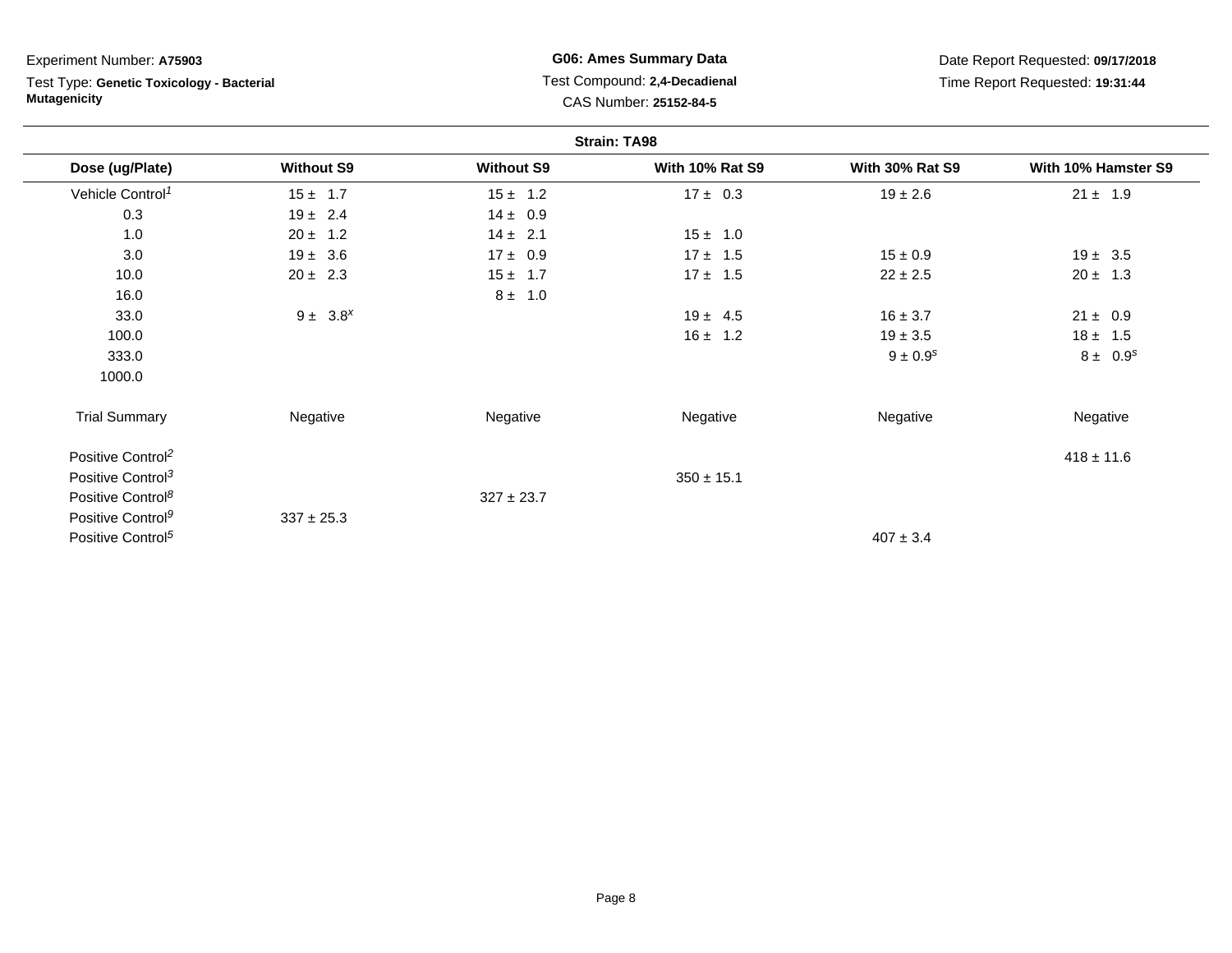**Strain: TA98Dose (ug/Plate) Without S9 Without S9 With 10% Rat S9 With 30% Rat S9 With 10% Hamster S9** Vehicle Control<sup>1</sup>  $15 ± 1.7$  $7$   $15 \pm 1.2$   $17 \pm 0.3$   $19 \pm 2.6$   $21 \pm 1.9$ 0.33  $19 \pm 2.4$   $14 \pm 0.9$ 1.00  $20 \pm 1.2$   $14 \pm 2.1$   $15 \pm 1.0$ 3.00 19 ± 3.6 17 ± 0.9 17 ± 1.5 15 ± 0.9 19 ± 3.5 10.00  $20 \pm 2.3$  15  $\pm 1.7$  17  $\pm 1.5$  22  $\pm 2.5$  20  $\pm 1.3$ 16.00  $8 \pm 1.0$ 33.00  $9 \pm 3.8^x$  21  $\pm 0.9$ 100.00  $16 \pm 1.2$  19  $\pm 3.5$  18  $\pm 1.5$ 333.00  $9 \pm 0.9^s$  8  $\pm 0.9^s$  8  $\pm 0.9^s$ 1000.0Trial Summary Negativee **Negative Regative** Negative Negative Negative Regative Negative Positive Control<sup>2</sup> $^{2}$   $^{418}$   $\pm$  11.6 Positive Control<sup>3</sup>  $350 \pm 15.1$ Positive Control<sup>8</sup> 327 ± 23.7Positive Control<sup>9</sup>  $337 \pm 25.3$ Positive Control<sup>5</sup>  $^{5}$ Experiment Number: **A75903**Test Type: **Genetic Toxicology - BacterialMutagenicityG06: Ames Summary Data** Test Compound: **2,4-Decadienal**CAS Number: **25152-84-5**Date Report Requested: **09/17/2018**Time Report Requested: **19:31:44**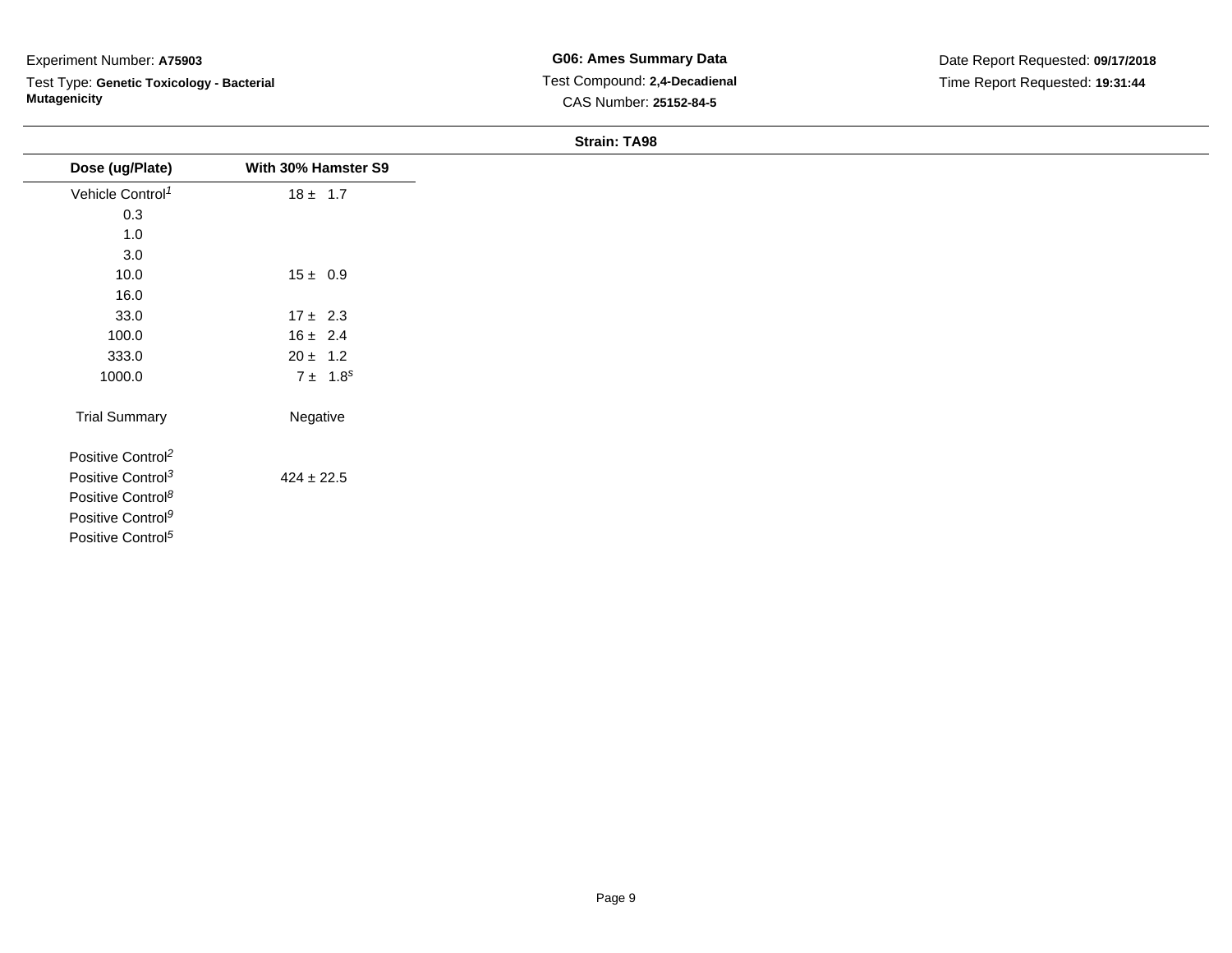Test Type: **Genetic Toxicology - Bacterial Mutagenicity**

| Dose (ug/Plate)               | With 30% Hamster S9 |
|-------------------------------|---------------------|
| Vehicle Control <sup>1</sup>  | $18 \pm 1.7$        |
| 0.3                           |                     |
| $1.0$                         |                     |
| 3.0                           |                     |
| 10.0                          | $15 \pm 0.9$        |
| 16.0                          |                     |
| 33.0                          | $17 \pm 2.3$        |
| 100.0                         | $16 \pm 2.4$        |
| 333.0                         | $20 \pm 1.2$        |
| 1000.0                        | $7 \pm 1.8^s$       |
| <b>Trial Summary</b>          | Negative            |
| Positive Control <sup>2</sup> |                     |
| Positive Control <sup>3</sup> | $424 \pm 22.5$      |
| Positive Control <sup>8</sup> |                     |
| Positive Control <sup>9</sup> |                     |
| Positive Control <sup>5</sup> |                     |
|                               |                     |